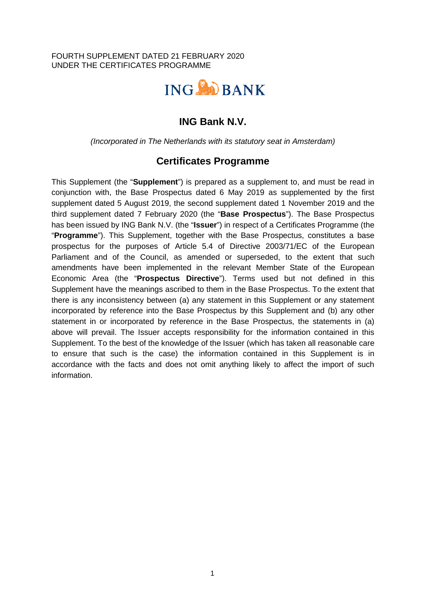#### FOURTH SUPPLEMENT DATED 21 FEBRUARY 2020 UNDER THE CERTIFICATES PROGRAMME



# **ING Bank N.V.**

*(Incorporated in The Netherlands with its statutory seat in Amsterdam)* 

## **Certificates Programme**

This Supplement (the "**Supplement**") is prepared as a supplement to, and must be read in conjunction with, the Base Prospectus dated 6 May 2019 as supplemented by the first supplement dated 5 August 2019, the second supplement dated 1 November 2019 and the third supplement dated 7 February 2020 (the "**Base Prospectus**"). The Base Prospectus has been issued by ING Bank N.V. (the "**Issuer**") in respect of a Certificates Programme (the "**Programme**"). This Supplement, together with the Base Prospectus, constitutes a base prospectus for the purposes of Article 5.4 of Directive 2003/71/EC of the European Parliament and of the Council, as amended or superseded, to the extent that such amendments have been implemented in the relevant Member State of the European Economic Area (the "**Prospectus Directive**"). Terms used but not defined in this Supplement have the meanings ascribed to them in the Base Prospectus. To the extent that there is any inconsistency between (a) any statement in this Supplement or any statement incorporated by reference into the Base Prospectus by this Supplement and (b) any other statement in or incorporated by reference in the Base Prospectus, the statements in (a) above will prevail. The Issuer accepts responsibility for the information contained in this Supplement. To the best of the knowledge of the Issuer (which has taken all reasonable care to ensure that such is the case) the information contained in this Supplement is in accordance with the facts and does not omit anything likely to affect the import of such information.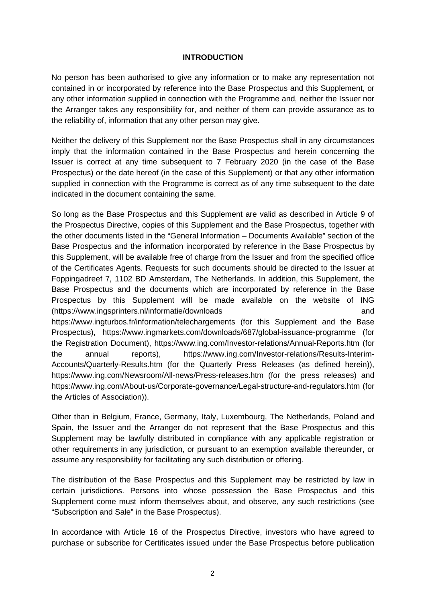#### **INTRODUCTION**

No person has been authorised to give any information or to make any representation not contained in or incorporated by reference into the Base Prospectus and this Supplement, or any other information supplied in connection with the Programme and, neither the Issuer nor the Arranger takes any responsibility for, and neither of them can provide assurance as to the reliability of, information that any other person may give.

Neither the delivery of this Supplement nor the Base Prospectus shall in any circumstances imply that the information contained in the Base Prospectus and herein concerning the Issuer is correct at any time subsequent to 7 February 2020 (in the case of the Base Prospectus) or the date hereof (in the case of this Supplement) or that any other information supplied in connection with the Programme is correct as of any time subsequent to the date indicated in the document containing the same.

So long as the Base Prospectus and this Supplement are valid as described in Article 9 of the Prospectus Directive, copies of this Supplement and the Base Prospectus, together with the other documents listed in the "General Information – Documents Available" section of the Base Prospectus and the information incorporated by reference in the Base Prospectus by this Supplement, will be available free of charge from the Issuer and from the specified office of the Certificates Agents. Requests for such documents should be directed to the Issuer at Foppingadreef 7, 1102 BD Amsterdam, The Netherlands. In addition, this Supplement, the Base Prospectus and the documents which are incorporated by reference in the Base Prospectus by this Supplement will be made available on the website of ING (https://www.ingsprinters.nl/informatie/downloads and https://www.ingturbos.fr/information/telechargements (for this Supplement and the Base Prospectus), https://www.ingmarkets.com/downloads/687/global-issuance-programme (for the Registration Document), https://www.ing.com/Investor-relations/Annual-Reports.htm (for the annual reports), https://www.ing.com/Investor-relations/Results-Interim-Accounts/Quarterly-Results.htm (for the Quarterly Press Releases (as defined herein)), https://www.ing.com/Newsroom/All-news/Press-releases.htm (for the press releases) and https://www.ing.com/About-us/Corporate-governance/Legal-structure-and-regulators.htm (for the Articles of Association)).

Other than in Belgium, France, Germany, Italy, Luxembourg, The Netherlands, Poland and Spain, the Issuer and the Arranger do not represent that the Base Prospectus and this Supplement may be lawfully distributed in compliance with any applicable registration or other requirements in any jurisdiction, or pursuant to an exemption available thereunder, or assume any responsibility for facilitating any such distribution or offering.

The distribution of the Base Prospectus and this Supplement may be restricted by law in certain jurisdictions. Persons into whose possession the Base Prospectus and this Supplement come must inform themselves about, and observe, any such restrictions (see "Subscription and Sale" in the Base Prospectus).

In accordance with Article 16 of the Prospectus Directive, investors who have agreed to purchase or subscribe for Certificates issued under the Base Prospectus before publication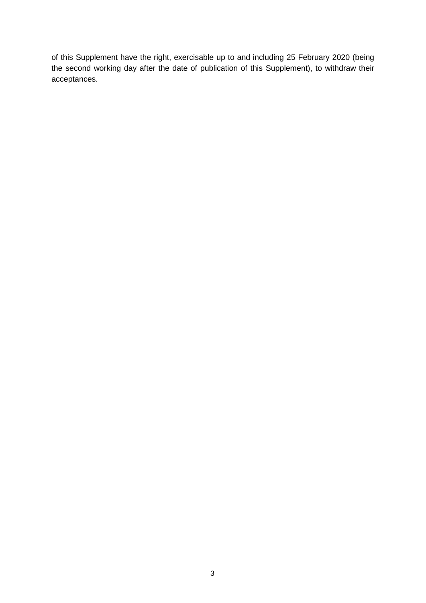of this Supplement have the right, exercisable up to and including 25 February 2020 (being the second working day after the date of publication of this Supplement), to withdraw their acceptances.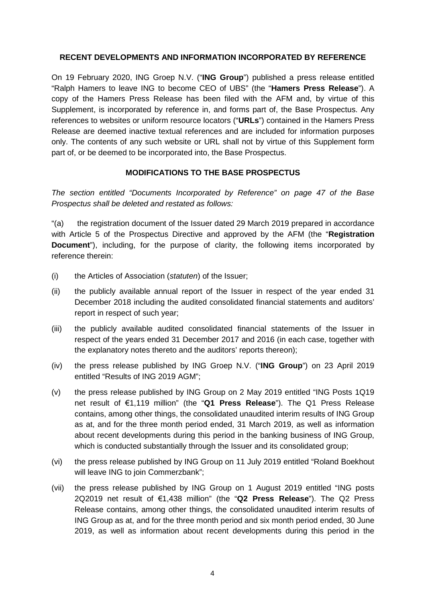#### **RECENT DEVELOPMENTS AND INFORMATION INCORPORATED BY REFERENCE**

On 19 February 2020, ING Groep N.V. ("**ING Group**") published a press release entitled "Ralph Hamers to leave ING to become CEO of UBS" (the "**Hamers Press Release**"). A copy of the Hamers Press Release has been filed with the AFM and, by virtue of this Supplement, is incorporated by reference in, and forms part of, the Base Prospectus. Any references to websites or uniform resource locators ("**URLs**") contained in the Hamers Press Release are deemed inactive textual references and are included for information purposes only. The contents of any such website or URL shall not by virtue of this Supplement form part of, or be deemed to be incorporated into, the Base Prospectus.

### **MODIFICATIONS TO THE BASE PROSPECTUS**

*The section entitled "Documents Incorporated by Reference" on page 47 of the Base Prospectus shall be deleted and restated as follows:* 

"(a) the registration document of the Issuer dated 29 March 2019 prepared in accordance with Article 5 of the Prospectus Directive and approved by the AFM (the "**Registration Document**"), including, for the purpose of clarity, the following items incorporated by reference therein:

- (i) the Articles of Association (*statuten*) of the Issuer;
- (ii) the publicly available annual report of the Issuer in respect of the year ended 31 December 2018 including the audited consolidated financial statements and auditors' report in respect of such year;
- (iii) the publicly available audited consolidated financial statements of the Issuer in respect of the years ended 31 December 2017 and 2016 (in each case, together with the explanatory notes thereto and the auditors' reports thereon);
- (iv) the press release published by ING Groep N.V. ("**ING Group**") on 23 April 2019 entitled "Results of ING 2019 AGM";
- (v) the press release published by ING Group on 2 May 2019 entitled "ING Posts 1Q19 net result of €1,119 million" (the "**Q1 Press Release**"). The Q1 Press Release contains, among other things, the consolidated unaudited interim results of ING Group as at, and for the three month period ended, 31 March 2019, as well as information about recent developments during this period in the banking business of ING Group, which is conducted substantially through the Issuer and its consolidated group;
- (vi) the press release published by ING Group on 11 July 2019 entitled "Roland Boekhout will leave ING to join Commerzbank";
- (vii) the press release published by ING Group on 1 August 2019 entitled "ING posts 2Q2019 net result of €1,438 million" (the "**Q2 Press Release**"). The Q2 Press Release contains, among other things, the consolidated unaudited interim results of ING Group as at, and for the three month period and six month period ended, 30 June 2019, as well as information about recent developments during this period in the